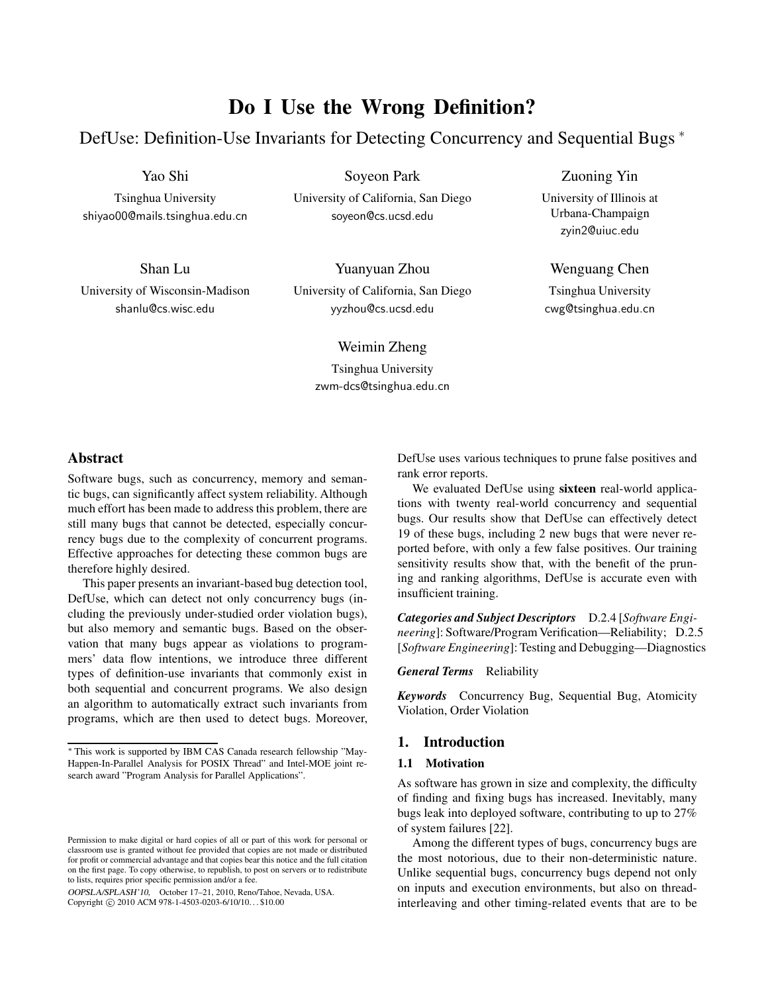# **Do I Use the Wrong Definition?**

DefUse: Definition-Use Invariants for Detecting Concurrency and Sequential Bugs <sup>∗</sup>

Yao Shi

Tsinghua University shiyao00@mails.tsinghua.edu.cn

Shan Lu University of Wisconsin-Madison shanlu@cs.wisc.edu

Soyeon Park

University of California, San Diego soyeon@cs.ucsd.edu

Yuanyuan Zhou University of California, San Diego yyzhou@cs.ucsd.edu

Weimin Zheng

Tsinghua University zwm-dcs@tsinghua.edu.cn Zuoning Yin

University of Illinois at Urbana-Champaign zyin2@uiuc.edu

Wenguang Chen

Tsinghua University cwg@tsinghua.edu.cn

# **Abstract**

Software bugs, such as concurrency, memory and semantic bugs, can significantly affect system reliability. Although much effort has been made to address this problem, there are still many bugs that cannot be detected, especially concurrency bugs due to the complexity of concurrent programs. Effective approaches for detecting these common bugs are therefore highly desired.

This paper presents an invariant-based bug detection tool, DefUse, which can detect not only concurrency bugs (including the previously under-studied order violation bugs), but also memory and semantic bugs. Based on the observation that many bugs appear as violations to programmers' data flow intentions, we introduce three different types of definition-use invariants that commonly exist in both sequential and concurrent programs. We also design an algorithm to automatically extract such invariants from programs, which are then used to detect bugs. Moreover,

OOPSLA/SPLASH'10, October 17–21, 2010, Reno/Tahoe, Nevada, USA. Copyright © 2010 ACM 978-1-4503-0203-6/10/10... \$10.00

DefUse uses various techniques to prune false positives and rank error reports.

We evaluated DefUse using **sixteen** real-world applications with twenty real-world concurrency and sequential bugs. Our results show that DefUse can effectively detect 19 of these bugs, including 2 new bugs that were never reported before, with only a few false positives. Our training sensitivity results show that, with the benefit of the pruning and ranking algorithms, DefUse is accurate even with insufficient training.

*Categories and Subject Descriptors* D.2.4 [*Software Engineering*]: Software/Program Verification—Reliability; D.2.5 [*Software Engineering*]: Testing and Debugging—Diagnostics

*General Terms* Reliability

*Keywords* Concurrency Bug, Sequential Bug, Atomicity Violation, Order Violation

# **1. Introduction**

#### **1.1 Motivation**

As software has grown in size and complexity, the difficulty of finding and fixing bugs has increased. Inevitably, many bugs leak into deployed software, contributing to up to 27% of system failures [22].

Among the different types of bugs, concurrency bugs are the most notorious, due to their non-deterministic nature. Unlike sequential bugs, concurrency bugs depend not only on inputs and execution environments, but also on threadinterleaving and other timing-related events that are to be

<sup>∗</sup> This work is supported by IBM CAS Canada research fellowship "May-Happen-In-Parallel Analysis for POSIX Thread" and Intel-MOE joint research award "Program Analysis for Parallel Applications".

Permission to make digital or hard copies of all or part of this work for personal or classroom use is granted without fee provided that copies are not made or distributed for profit or commercial advantage and that copies bear this notice and the full citation on the first page. To copy otherwise, to republish, to post on servers or to redistribute to lists, requires prior specific permission and/or a fee.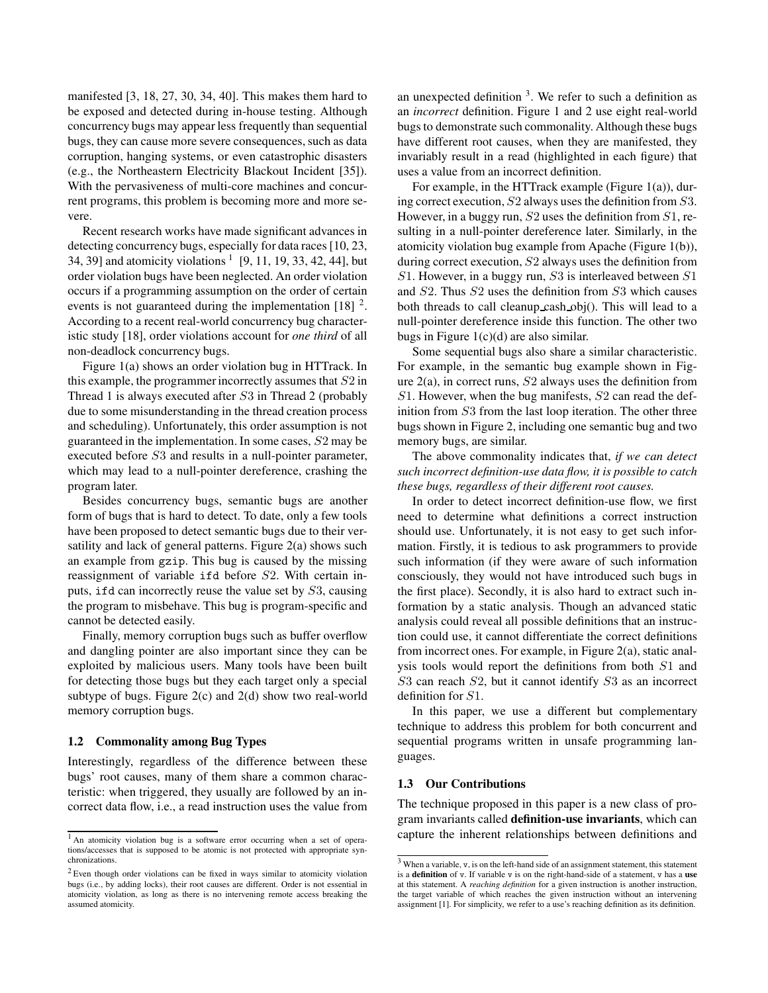manifested [3, 18, 27, 30, 34, 40]. This makes them hard to be exposed and detected during in-house testing. Although concurrency bugs may appear less frequently than sequential bugs, they can cause more severe consequences, such as data corruption, hanging systems, or even catastrophic disasters (e.g., the Northeastern Electricity Blackout Incident [35]). With the pervasiveness of multi-core machines and concurrent programs, this problem is becoming more and more severe.

Recent research works have made significant advances in detecting concurrency bugs, especially for data races [10, 23, 34, 39] and atomicity violations  $1$  [9, 11, 19, 33, 42, 44], but order violation bugs have been neglected. An order violation occurs if a programming assumption on the order of certain events is not guaranteed during the implementation  $[18]$ <sup>2</sup>. According to a recent real-world concurrency bug characteristic study [18], order violations account for *one third* of all non-deadlock concurrency bugs.

Figure 1(a) shows an order violation bug in HTTrack. In this example, the programmer incorrectly assumes that  $S2$  in Thread 1 is always executed after S3 in Thread 2 (probably due to some misunderstanding in the thread creation process and scheduling). Unfortunately, this order assumption is not guaranteed in the implementation. In some cases, S2 may be executed before S3 and results in a null-pointer parameter, which may lead to a null-pointer dereference, crashing the program later.

Besides concurrency bugs, semantic bugs are another form of bugs that is hard to detect. To date, only a few tools have been proposed to detect semantic bugs due to their versatility and lack of general patterns. Figure 2(a) shows such an example from gzip. This bug is caused by the missing reassignment of variable ifd before S2. With certain inputs, ifd can incorrectly reuse the value set by S3, causing the program to misbehave. This bug is program-specific and cannot be detected easily.

Finally, memory corruption bugs such as buffer overflow and dangling pointer are also important since they can be exploited by malicious users. Many tools have been built for detecting those bugs but they each target only a special subtype of bugs. Figure 2(c) and 2(d) show two real-world memory corruption bugs.

#### **1.2 Commonality among Bug Types**

Interestingly, regardless of the difference between these bugs' root causes, many of them share a common characteristic: when triggered, they usually are followed by an incorrect data flow, i.e., a read instruction uses the value from

an unexpected definition  $3$ . We refer to such a definition as an *incorrect* definition. Figure 1 and 2 use eight real-world bugs to demonstrate such commonality. Although these bugs have different root causes, when they are manifested, they invariably result in a read (highlighted in each figure) that uses a value from an incorrect definition.

For example, in the HTTrack example (Figure 1(a)), during correct execution, S2 always uses the definition from S3. However, in a buggy run,  $S2$  uses the definition from  $S1$ , resulting in a null-pointer dereference later. Similarly, in the atomicity violation bug example from Apache (Figure 1(b)), during correct execution, S2 always uses the definition from  $S1$ . However, in a buggy run,  $S3$  is interleaved between  $S1$ and S2. Thus S2 uses the definition from S3 which causes both threads to call cleanup cash obj(). This will lead to a null-pointer dereference inside this function. The other two bugs in Figure  $1(c)(d)$  are also similar.

Some sequential bugs also share a similar characteristic. For example, in the semantic bug example shown in Figure 2(a), in correct runs, S2 always uses the definition from S1. However, when the bug manifests, S2 can read the definition from S3 from the last loop iteration. The other three bugs shown in Figure 2, including one semantic bug and two memory bugs, are similar.

The above commonality indicates that, *if we can detect such incorrect definition-use data flow, it is possible to catch these bugs, regardless of their different root causes.*

In order to detect incorrect definition-use flow, we first need to determine what definitions a correct instruction should use. Unfortunately, it is not easy to get such information. Firstly, it is tedious to ask programmers to provide such information (if they were aware of such information consciously, they would not have introduced such bugs in the first place). Secondly, it is also hard to extract such information by a static analysis. Though an advanced static analysis could reveal all possible definitions that an instruction could use, it cannot differentiate the correct definitions from incorrect ones. For example, in Figure 2(a), static analysis tools would report the definitions from both S1 and S3 can reach S2, but it cannot identify S3 as an incorrect definition for S1.

In this paper, we use a different but complementary technique to address this problem for both concurrent and sequential programs written in unsafe programming languages.

#### **1.3 Our Contributions**

The technique proposed in this paper is a new class of program invariants called **definition-use invariants**, which can capture the inherent relationships between definitions and

<sup>&</sup>lt;sup>1</sup> An atomicity violation bug is a software error occurring when a set of operations/accesses that is supposed to be atomic is not protected with appropriate synchronizations.

 $2$  Even though order violations can be fixed in ways similar to atomicity violation bugs (i.e., by adding locks), their root causes are different. Order is not essential in atomicity violation, as long as there is no intervening remote access breaking the assumed atomicity.

<sup>3</sup> When a variable, v, is on the left-hand side of an assignment statement, this statement is a **definition** of v. If variable v is on the right-hand-side of a statement, v has a **use** at this statement. A *reaching definition* for a given instruction is another instruction, the target variable of which reaches the given instruction without an intervening assignment [1]. For simplicity, we refer to a use's reaching definition as its definition.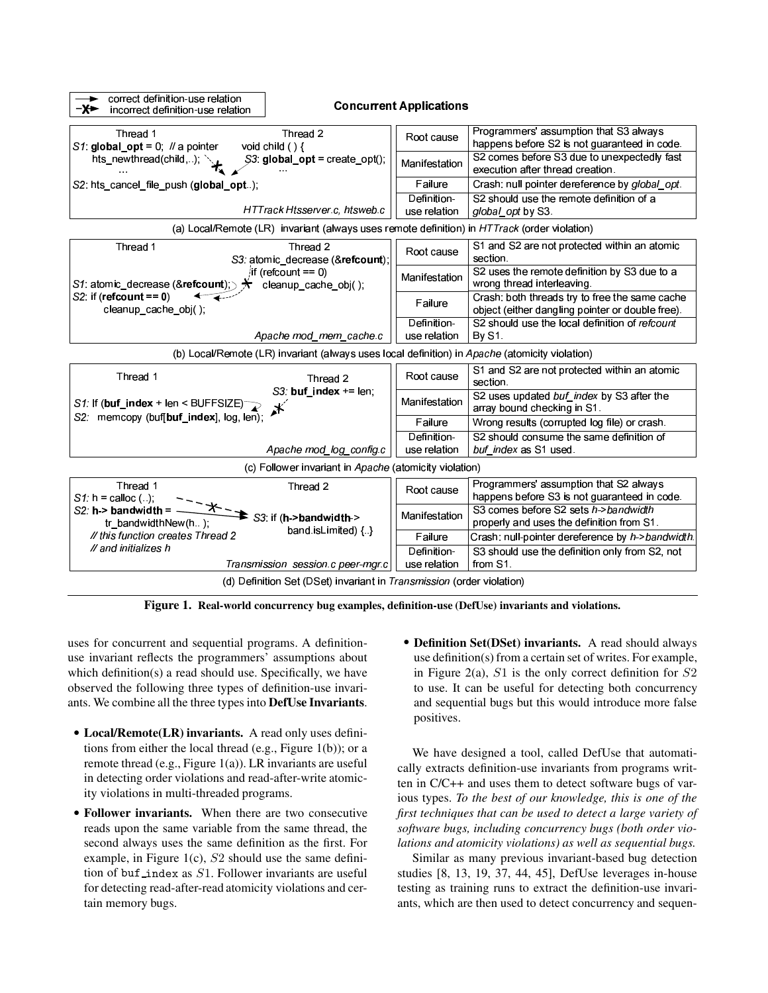

**Figure 1. Real-world concurrency bug examples, definition-use (DefUse) invariants and violations.**

uses for concurrent and sequential programs. A definitionuse invariant reflects the programmers' assumptions about which definition(s) a read should use. Specifically, we have observed the following three types of definition-use invariants. We combine all the three types into **DefUse Invariants**.

- **Local/Remote(LR) invariants.** A read only uses definitions from either the local thread (e.g., Figure 1(b)); or a remote thread (e.g., Figure 1(a)). LR invariants are useful in detecting order violations and read-after-write atomicity violations in multi-threaded programs.
- **Follower invariants.** When there are two consecutive reads upon the same variable from the same thread, the second always uses the same definition as the first. For example, in Figure 1(c),  $S2$  should use the same definition of buf  $\Delta$ index as  $S1$ . Follower invariants are useful for detecting read-after-read atomicity violations and certain memory bugs.
- **Definition Set(DSet) invariants.** A read should always use definition(s) from a certain set of writes. For example, in Figure 2(a),  $S1$  is the only correct definition for  $S2$ to use. It can be useful for detecting both concurrency and sequential bugs but this would introduce more false positives.

We have designed a tool, called DefUse that automatically extracts definition-use invariants from programs written in C/C++ and uses them to detect software bugs of various types. *To the best of our knowledge, this is one of the first techniques that can be used to detect a large variety of software bugs, including concurrency bugs (both order violations and atomicity violations) as well as sequential bugs.*

Similar as many previous invariant-based bug detection studies [8, 13, 19, 37, 44, 45], DefUse leverages in-house testing as training runs to extract the definition-use invariants, which are then used to detect concurrency and sequen-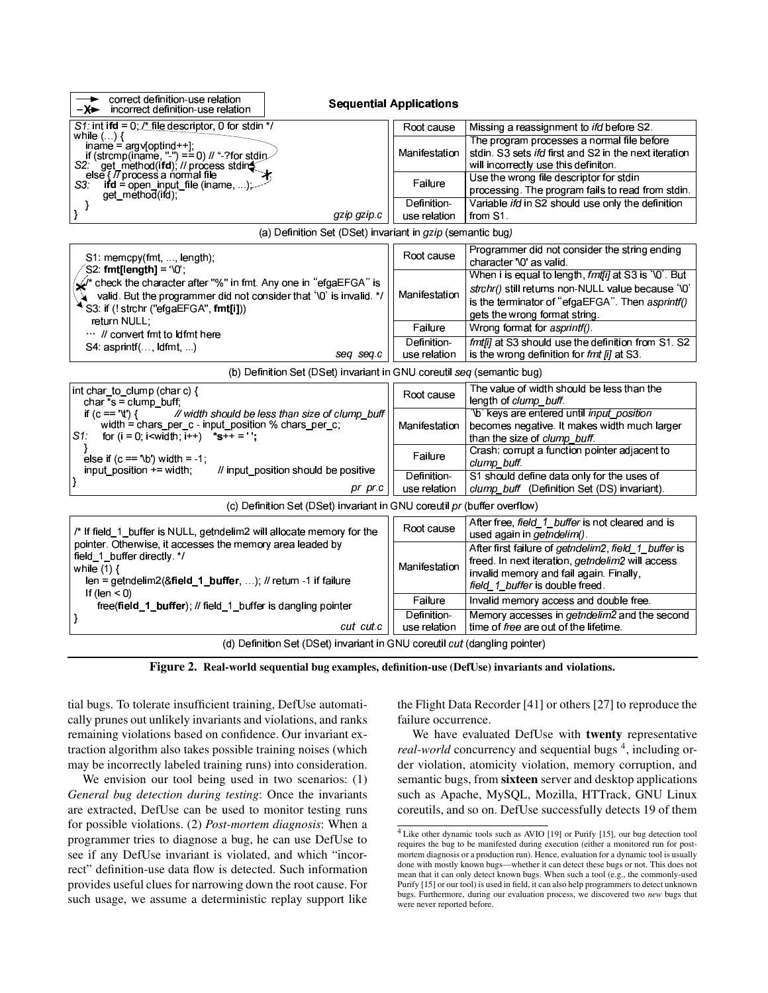| correct definition-use relation<br>→<br>incorrect definition-use relation<br>– <del>X►</del>                                                                                                                                        | <b>Sequential Applications</b> |                                                                                                                                                                                                 |
|-------------------------------------------------------------------------------------------------------------------------------------------------------------------------------------------------------------------------------------|--------------------------------|-------------------------------------------------------------------------------------------------------------------------------------------------------------------------------------------------|
| S1: int ifd = $0, l^*$ file descriptor, 0 for stdin */                                                                                                                                                                              | Root cause                     | Missing a reassignment to <i>ifd</i> before S2.                                                                                                                                                 |
| while $\left(\ldots\right)\{$<br>iname = argv[optind++];<br>if (strcmp(iname, "-") == 0) // "-?for stdin<br>S2 get method(ifd), // process stding<br>else { // process a normal file                                                | Manifestation                  | The program processes a normal file before<br>stdin. S3 sets <i>ifd</i> first and S2 in the next iteration<br>will incorrectly use this definiton.                                              |
| $\mathbf{if} \mathbf{d} = \text{open}$ input file (iname, ),<br>S3.<br>get method(ifd),                                                                                                                                             | Failure                        | Use the wrong file descriptor for stdin<br>processing. The program fails to read from stdin.                                                                                                    |
| -}                                                                                                                                                                                                                                  | Definition-                    | Variable ifd in S2 should use only the definition                                                                                                                                               |
| }<br>gzip gzip c                                                                                                                                                                                                                    | use relation                   | from S1.                                                                                                                                                                                        |
| (a) Definition Set (DSet) invariant in gzip (semantic bug)                                                                                                                                                                          |                                |                                                                                                                                                                                                 |
| S1: memcpy(fmt, , length);                                                                                                                                                                                                          | Root cause                     | Programmer did not consider the string ending<br>character '\0' as valid.                                                                                                                       |
| $SS2$ : fmt[length] = '\0';<br>$\hat{\mathcal{L}}'$ check the character after "%" in fmt. Any one in "efgaEFGA" is<br>valid. But the programmer did not consider that '\0' is invalid. */<br>S3: if (! strchr ("efgaEFGA", fmt[i])) | Manifestation                  | When i is equal to length, fmt[i] at S3 is '\0'. But<br>strchr() still returns non-NULL value because '\0'<br>is the terminator of "efgaEFGA". Then asprintf()<br>gets the wrong format string. |
| return NULL:                                                                                                                                                                                                                        | Failure                        | Wrong format for asprintf().                                                                                                                                                                    |
| // convert fmt to Idfmt here<br>S4: asprintf(, ldfmt, )<br>seg seg.c                                                                                                                                                                | Definition-<br>use relation    | fmt[i] at S3 should use the definition from S1. S2<br>is the wrong definition for fmt [i] at S3.                                                                                                |
| (b) Definition Set (DSet) invariant in GNU coreutil seq (semantic bug)                                                                                                                                                              |                                |                                                                                                                                                                                                 |
| int char_to_clump (char c) {<br>char $*$ s = clump buff;                                                                                                                                                                            | Root cause                     | The value of width should be less than the<br>length of clump buff.                                                                                                                             |
| if $(c == 't')$ {<br>// width should be less than size of clump_buff<br>width = chars_per_c - input_position % chars_per_c;<br>S1: for $(i = 0; i \le width; i++)$ *s++ = '';                                                       | Manifestation                  | '\b' keys are entered until <i>input_position</i><br>becomes negative. It makes width much larger<br>than the size of clump_buff.                                                               |
| else if $(c == 'b')$ width = -1;                                                                                                                                                                                                    | Failure                        | Crash: corrupt a function pointer adjacent to<br>clump buff.                                                                                                                                    |
| input position += width;<br>// input position should be positive<br> }<br>pr pr.c                                                                                                                                                   | Definition-<br>use relation    | S1 should define data only for the uses of<br>clump_buff (Definition Set (DS) invariant).                                                                                                       |
| (c) Definition Set (DSet) invariant in GNU coreutil pr (buffer overflow)                                                                                                                                                            |                                |                                                                                                                                                                                                 |
| /* If field 1 buffer is NULL, getndelim2 will allocate memory for the                                                                                                                                                               | Root cause                     | After free, field_1_buffer is not cleared and is<br>used again in <i>getndelim()</i> .                                                                                                          |
| pointer. Otherwise, it accesses the memory area leaded by<br>field 1 buffer directly. */<br>while $(1)$ {<br>len = getndelim2( $&$ field 1 buffer, ); // return -1 if failure                                                       | Manifestation                  | After first failure of getndelim2, field_1_buffer is<br>freed. In next iteration, getndelim2 will access<br>invalid memory and fail again. Finally,<br>field_1_buffer is double freed.          |
| If (len $<$ 0)<br>free(field_1_buffer); // field 1 buffer is dangling pointer                                                                                                                                                       | Failure                        | Invalid memory access and double free.                                                                                                                                                          |
| }<br>cut cut c                                                                                                                                                                                                                      | Definition-<br>use relation    | Memory accesses in <i>getndelim</i> 2 and the second<br>time of free are out of the lifetime.                                                                                                   |
| (d) Definition Set (DSet) invariant in GNU coreutil cut (dangling pointer)                                                                                                                                                          |                                |                                                                                                                                                                                                 |

**Figure 2. Real-world sequential bug examples, definition-use (DefUse) invariants and violations.**

tial bugs. To tolerate insufficient training, DefUse automatically prunes out unlikely invariants and violations, and ranks remaining violations based on confidence. Our invariant extraction algorithm also takes possible training noises (which may be incorrectly labeled training runs) into consideration.

We envision our tool being used in two scenarios: (1) *General bug detection during testing*: Once the invariants are extracted, DefUse can be used to monitor testing runs for possible violations. (2) *Post-mortem diagnosis*: When a programmer tries to diagnose a bug, he can use DefUse to see if any DefUse invariant is violated, and which "incorrect" definition-use data flow is detected. Such information provides useful clues for narrowing down the root cause. For such usage, we assume a deterministic replay support like

the Flight Data Recorder [41] or others [27] to reproduce the failure occurrence.

We have evaluated DefUse with **twenty** representative *real-world* concurrency and sequential bugs<sup>4</sup>, including order violation, atomicity violation, memory corruption, and semantic bugs, from **sixteen** server and desktop applications such as Apache, MySQL, Mozilla, HTTrack, GNU Linux coreutils, and so on. DefUse successfully detects 19 of them

<sup>4</sup> Like other dynamic tools such as AVIO [19] or Purify [15], our bug detection tool requires the bug to be manifested during execution (either a monitored run for postmortem diagnosis or a production run). Hence, evaluation for a dynamic tool is usually done with mostly known bugs—whether it can detect these bugs or not. This does not mean that it can only detect known bugs. When such a tool (e.g., the commonly-used Purify [15] or our tool) is used in field, it can also help programmers to detect unknown bugs. Furthermore, during our evaluation process, we discovered two *new* bugs that were never reported before.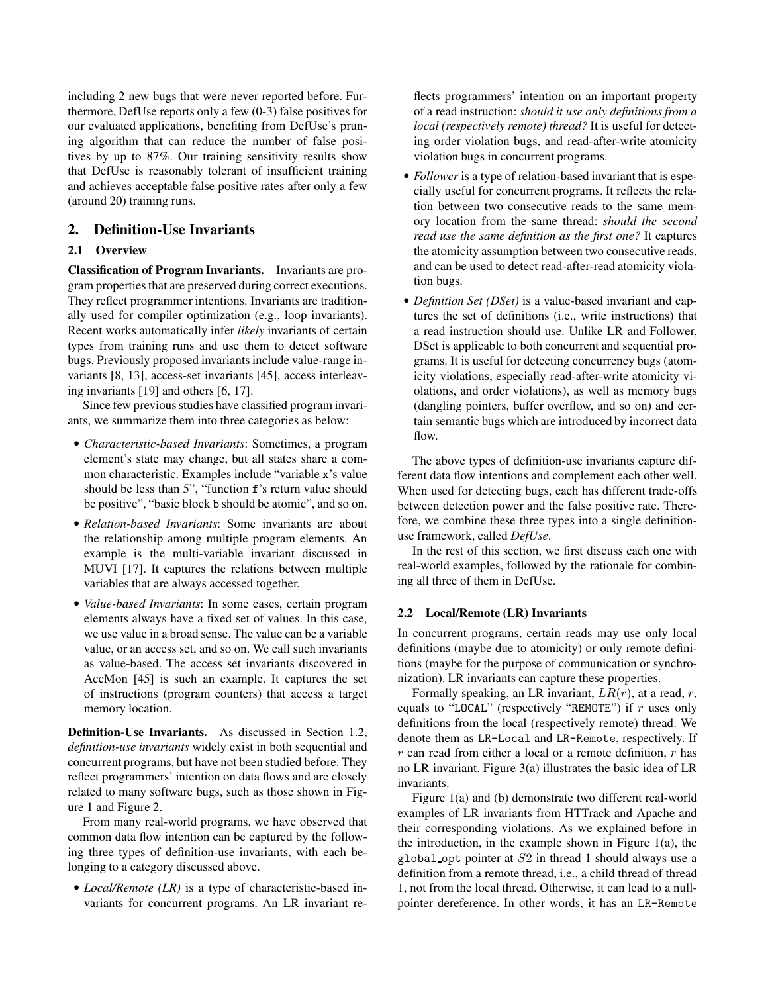including 2 new bugs that were never reported before. Furthermore, DefUse reports only a few (0-3) false positives for our evaluated applications, benefiting from DefUse's pruning algorithm that can reduce the number of false positives by up to 87%. Our training sensitivity results show that DefUse is reasonably tolerant of insufficient training and achieves acceptable false positive rates after only a few (around 20) training runs.

# **2. Definition-Use Invariants**

# **2.1 Overview**

**Classification of Program Invariants.** Invariants are program properties that are preserved during correct executions. They reflect programmer intentions. Invariants are traditionally used for compiler optimization (e.g., loop invariants). Recent works automatically infer *likely* invariants of certain types from training runs and use them to detect software bugs. Previously proposed invariants include value-range invariants [8, 13], access-set invariants [45], access interleaving invariants [19] and others [6, 17].

Since few previous studies have classified program invariants, we summarize them into three categories as below:

- *Characteristic-based Invariants*: Sometimes, a program element's state may change, but all states share a common characteristic. Examples include "variable x's value should be less than 5", "function f's return value should be positive", "basic block b should be atomic", and so on.
- *Relation-based Invariants*: Some invariants are about the relationship among multiple program elements. An example is the multi-variable invariant discussed in MUVI [17]. It captures the relations between multiple variables that are always accessed together.
- *Value-based Invariants*: In some cases, certain program elements always have a fixed set of values. In this case, we use value in a broad sense. The value can be a variable value, or an access set, and so on. We call such invariants as value-based. The access set invariants discovered in AccMon [45] is such an example. It captures the set of instructions (program counters) that access a target memory location.

**Definition-Use Invariants.** As discussed in Section 1.2, *definition-use invariants* widely exist in both sequential and concurrent programs, but have not been studied before. They reflect programmers' intention on data flows and are closely related to many software bugs, such as those shown in Figure 1 and Figure 2.

From many real-world programs, we have observed that common data flow intention can be captured by the following three types of definition-use invariants, with each belonging to a category discussed above.

• *Local/Remote (LR)* is a type of characteristic-based invariants for concurrent programs. An LR invariant reflects programmers' intention on an important property of a read instruction: *should it use only definitions from a local (respectively remote) thread?* It is useful for detecting order violation bugs, and read-after-write atomicity violation bugs in concurrent programs.

- *Follower* is a type of relation-based invariant that is especially useful for concurrent programs. It reflects the relation between two consecutive reads to the same memory location from the same thread: *should the second read use the same definition as the first one?* It captures the atomicity assumption between two consecutive reads, and can be used to detect read-after-read atomicity violation bugs.
- *Definition Set (DSet)* is a value-based invariant and captures the set of definitions (i.e., write instructions) that a read instruction should use. Unlike LR and Follower, DSet is applicable to both concurrent and sequential programs. It is useful for detecting concurrency bugs (atomicity violations, especially read-after-write atomicity violations, and order violations), as well as memory bugs (dangling pointers, buffer overflow, and so on) and certain semantic bugs which are introduced by incorrect data flow.

The above types of definition-use invariants capture different data flow intentions and complement each other well. When used for detecting bugs, each has different trade-offs between detection power and the false positive rate. Therefore, we combine these three types into a single definitionuse framework, called *DefUse*.

In the rest of this section, we first discuss each one with real-world examples, followed by the rationale for combining all three of them in DefUse.

# **2.2 Local/Remote (LR) Invariants**

In concurrent programs, certain reads may use only local definitions (maybe due to atomicity) or only remote definitions (maybe for the purpose of communication or synchronization). LR invariants can capture these properties.

Formally speaking, an LR invariant,  $LR(r)$ , at a read, r, equals to "LOCAL" (respectively "REMOTE") if  $r$  uses only definitions from the local (respectively remote) thread. We denote them as LR-Local and LR-Remote, respectively. If  $r$  can read from either a local or a remote definition,  $r$  has no LR invariant. Figure 3(a) illustrates the basic idea of LR invariants.

Figure 1(a) and (b) demonstrate two different real-world examples of LR invariants from HTTrack and Apache and their corresponding violations. As we explained before in the introduction, in the example shown in Figure  $1(a)$ , the global opt pointer at  $S2$  in thread 1 should always use a definition from a remote thread, i.e., a child thread of thread 1, not from the local thread. Otherwise, it can lead to a nullpointer dereference. In other words, it has an LR-Remote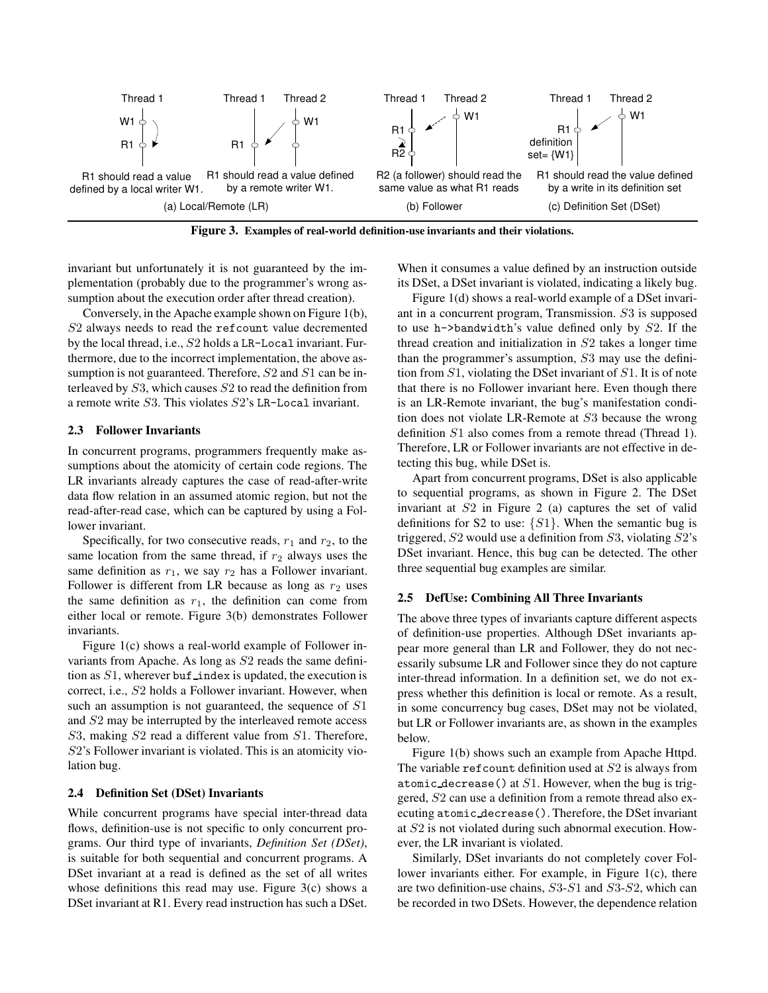

**Figure 3. Examples of real-world definition-use invariants and their violations.**

invariant but unfortunately it is not guaranteed by the implementation (probably due to the programmer's wrong assumption about the execution order after thread creation).

Conversely, in the Apache example shown on Figure 1(b), S2 always needs to read the refcount value decremented by the local thread, i.e., S2 holds a LR-Local invariant. Furthermore, due to the incorrect implementation, the above assumption is not guaranteed. Therefore,  $S2$  and  $S1$  can be interleaved by S3, which causes S2 to read the definition from a remote write S3. This violates S2's LR-Local invariant.

## **2.3 Follower Invariants**

In concurrent programs, programmers frequently make assumptions about the atomicity of certain code regions. The LR invariants already captures the case of read-after-write data flow relation in an assumed atomic region, but not the read-after-read case, which can be captured by using a Follower invariant.

Specifically, for two consecutive reads,  $r_1$  and  $r_2$ , to the same location from the same thread, if  $r_2$  always uses the same definition as  $r_1$ , we say  $r_2$  has a Follower invariant. Follower is different from LR because as long as  $r_2$  uses the same definition as  $r_1$ , the definition can come from either local or remote. Figure 3(b) demonstrates Follower invariants.

Figure 1(c) shows a real-world example of Follower invariants from Apache. As long as S2 reads the same definition as  $S1$ , wherever buf index is updated, the execution is correct, i.e., S2 holds a Follower invariant. However, when such an assumption is not guaranteed, the sequence of  $S1$ and S2 may be interrupted by the interleaved remote access S3, making S2 read a different value from S1. Therefore, S2's Follower invariant is violated. This is an atomicity violation bug.

#### **2.4 Definition Set (DSet) Invariants**

While concurrent programs have special inter-thread data flows, definition-use is not specific to only concurrent programs. Our third type of invariants, *Definition Set (DSet)*, is suitable for both sequential and concurrent programs. A DSet invariant at a read is defined as the set of all writes whose definitions this read may use. Figure 3(c) shows a DSet invariant at R1. Every read instruction has such a DSet.

When it consumes a value defined by an instruction outside its DSet, a DSet invariant is violated, indicating a likely bug.

Figure 1(d) shows a real-world example of a DSet invariant in a concurrent program, Transmission. S3 is supposed to use h->bandwidth's value defined only by S2. If the thread creation and initialization in S2 takes a longer time than the programmer's assumption, S3 may use the definition from  $S1$ , violating the DSet invariant of  $S1$ . It is of note that there is no Follower invariant here. Even though there is an LR-Remote invariant, the bug's manifestation condition does not violate LR-Remote at S3 because the wrong definition S1 also comes from a remote thread (Thread 1). Therefore, LR or Follower invariants are not effective in detecting this bug, while DSet is.

Apart from concurrent programs, DSet is also applicable to sequential programs, as shown in Figure 2. The DSet invariant at S2 in Figure 2 (a) captures the set of valid definitions for S2 to use:  $\{S1\}$ . When the semantic bug is triggered,  $S2$  would use a definition from  $S3$ , violating  $S2$ 's DSet invariant. Hence, this bug can be detected. The other three sequential bug examples are similar.

#### **2.5 DefUse: Combining All Three Invariants**

The above three types of invariants capture different aspects of definition-use properties. Although DSet invariants appear more general than LR and Follower, they do not necessarily subsume LR and Follower since they do not capture inter-thread information. In a definition set, we do not express whether this definition is local or remote. As a result, in some concurrency bug cases, DSet may not be violated, but LR or Follower invariants are, as shown in the examples below.

Figure 1(b) shows such an example from Apache Httpd. The variable reficount definition used at  $S2$  is always from atomic decrease() at  $S1$ . However, when the bug is triggered, S2 can use a definition from a remote thread also executing atomic decrease(). Therefore, the DSet invariant at S2 is not violated during such abnormal execution. However, the LR invariant is violated.

Similarly, DSet invariants do not completely cover Follower invariants either. For example, in Figure 1(c), there are two definition-use chains, S3-S1 and S3-S2, which can be recorded in two DSets. However, the dependence relation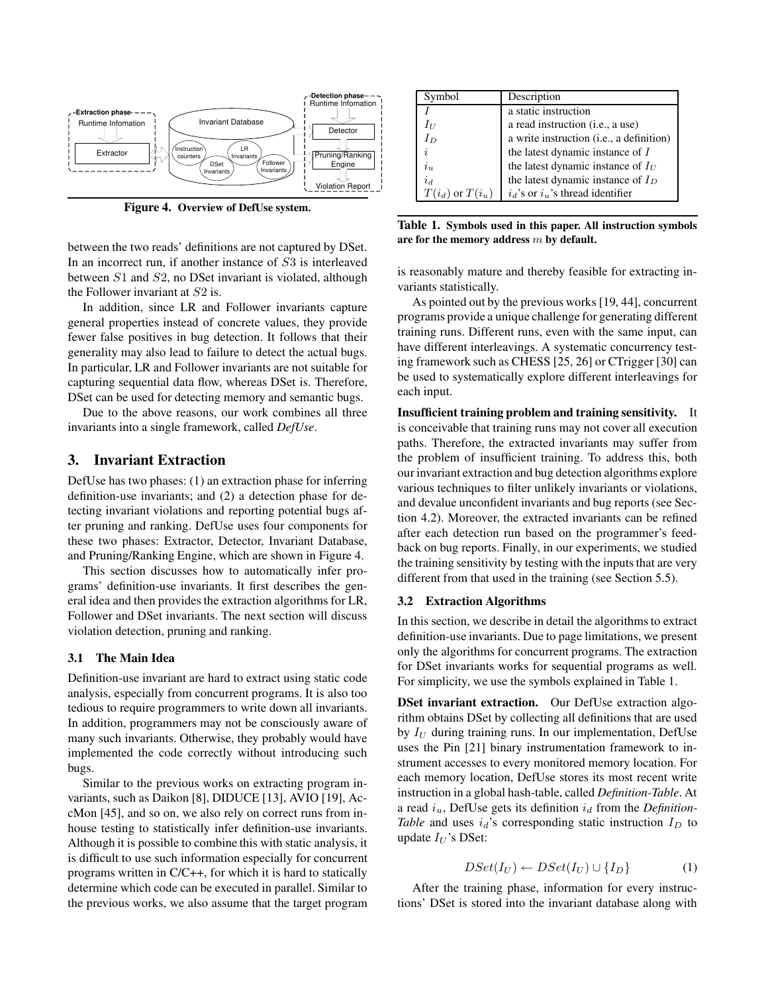

**Figure 4. Overview of DefUse system.**

between the two reads' definitions are not captured by DSet. In an incorrect run, if another instance of S3 is interleaved between S1 and S2, no DSet invariant is violated, although the Follower invariant at S2 is.

In addition, since LR and Follower invariants capture general properties instead of concrete values, they provide fewer false positives in bug detection. It follows that their generality may also lead to failure to detect the actual bugs. In particular, LR and Follower invariants are not suitable for capturing sequential data flow, whereas DSet is. Therefore, DSet can be used for detecting memory and semantic bugs.

Due to the above reasons, our work combines all three invariants into a single framework, called *DefUse*.

# **3. Invariant Extraction**

DefUse has two phases: (1) an extraction phase for inferring definition-use invariants; and (2) a detection phase for detecting invariant violations and reporting potential bugs after pruning and ranking. DefUse uses four components for these two phases: Extractor, Detector, Invariant Database, and Pruning/Ranking Engine, which are shown in Figure 4.

This section discusses how to automatically infer programs' definition-use invariants. It first describes the general idea and then provides the extraction algorithms for LR, Follower and DSet invariants. The next section will discuss violation detection, pruning and ranking.

#### **3.1 The Main Idea**

Definition-use invariant are hard to extract using static code analysis, especially from concurrent programs. It is also too tedious to require programmers to write down all invariants. In addition, programmers may not be consciously aware of many such invariants. Otherwise, they probably would have implemented the code correctly without introducing such bugs.

Similar to the previous works on extracting program invariants, such as Daikon [8], DIDUCE [13], AVIO [19], AccMon [45], and so on, we also rely on correct runs from inhouse testing to statistically infer definition-use invariants. Although it is possible to combine this with static analysis, it is difficult to use such information especially for concurrent programs written in C/C++, for which it is hard to statically determine which code can be executed in parallel. Similar to the previous works, we also assume that the target program

| Symbol                      | Description                              |
|-----------------------------|------------------------------------------|
|                             | a static instruction                     |
| $I_{\scriptscriptstyle II}$ | a read instruction (i.e., a use)         |
| $I_D$                       | a write instruction (i.e., a definition) |
| Ź,                          | the latest dynamic instance of $I$       |
| $i_{\nu}$                   | the latest dynamic instance of $I_U$     |
| $i_d$                       | the latest dynamic instance of $I_D$     |
| $T(i_d)$ or $T(i_u)$        | $i_d$ 's or $i_u$ 's thread identifier   |

**Table 1. Symbols used in this paper. All instruction symbols are for the memory address** m **by default.**

is reasonably mature and thereby feasible for extracting invariants statistically.

As pointed out by the previous works [19, 44], concurrent programs provide a unique challenge for generating different training runs. Different runs, even with the same input, can have different interleavings. A systematic concurrency testing framework such as CHESS [25, 26] or CTrigger [30] can be used to systematically explore different interleavings for each input.

**Insufficient training problem and training sensitivity.** It is conceivable that training runs may not cover all execution paths. Therefore, the extracted invariants may suffer from the problem of insufficient training. To address this, both our invariant extraction and bug detection algorithms explore various techniques to filter unlikely invariants or violations, and devalue unconfident invariants and bug reports (see Section 4.2). Moreover, the extracted invariants can be refined after each detection run based on the programmer's feedback on bug reports. Finally, in our experiments, we studied the training sensitivity by testing with the inputs that are very different from that used in the training (see Section 5.5).

#### **3.2 Extraction Algorithms**

In this section, we describe in detail the algorithms to extract definition-use invariants. Due to page limitations, we present only the algorithms for concurrent programs. The extraction for DSet invariants works for sequential programs as well. For simplicity, we use the symbols explained in Table 1.

**DSet invariant extraction.** Our DefUse extraction algorithm obtains DSet by collecting all definitions that are used by  $I_U$  during training runs. In our implementation, DefUse uses the Pin [21] binary instrumentation framework to instrument accesses to every monitored memory location. For each memory location, DefUse stores its most recent write instruction in a global hash-table, called *Definition-Table*. At a read  $i_u$ , DefUse gets its definition  $i_d$  from the *Definition*-*Table* and uses  $i_d$ 's corresponding static instruction  $I_D$  to update  $I_U$ 's DSet:

$$
DSet(I_U) \leftarrow DSet(I_U) \cup \{I_D\} \tag{1}
$$

After the training phase, information for every instructions' DSet is stored into the invariant database along with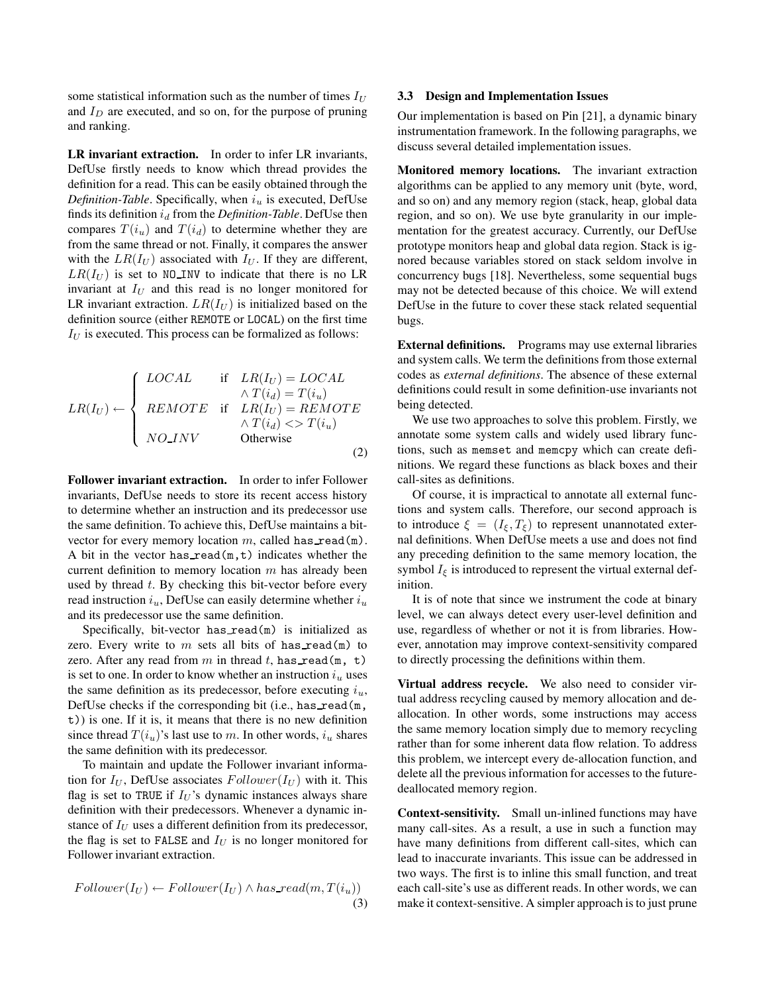some statistical information such as the number of times  $I_U$ and  $I_D$  are executed, and so on, for the purpose of pruning and ranking.

**LR invariant extraction.** In order to infer LR invariants, DefUse firstly needs to know which thread provides the definition for a read. This can be easily obtained through the *Definition-Table*. Specifically, when  $i_u$  is executed, DefUse finds its definition  $i_d$  from the *Definition-Table*. DefUse then compares  $T(i_u)$  and  $T(i_d)$  to determine whether they are from the same thread or not. Finally, it compares the answer with the  $LR(I_U)$  associated with  $I_U$ . If they are different,  $LR(I_U)$  is set to NO\_INV to indicate that there is no LR invariant at  $I_U$  and this read is no longer monitored for LR invariant extraction.  $LR(I_U)$  is initialized based on the definition source (either REMOTE or LOCAL) on the first time  $I_U$  is executed. This process can be formalized as follows:

$$
LR(I_U) \leftarrow \begin{cases} LOCAL & \text{if} & LR(I_U) = LOCAL \\ REMOTE & \text{if} & LR(I_U) = REMOTE \\ REMOTE & \text{if} & LR(I_U) = REMOTE \\ & \land T(i_d) & \text{otherwise} \end{cases}
$$

**Follower invariant extraction.** In order to infer Follower invariants, DefUse needs to store its recent access history to determine whether an instruction and its predecessor use the same definition. To achieve this, DefUse maintains a bitvector for every memory location  $m$ , called has read(m). A bit in the vector has read $(m,t)$  indicates whether the current definition to memory location  $m$  has already been used by thread  $t$ . By checking this bit-vector before every read instruction  $i_u$ , DefUse can easily determine whether  $i_u$ and its predecessor use the same definition.

Specifically, bit-vector has  $\text{read}(m)$  is initialized as zero. Every write to  $m$  sets all bits of has read(m) to zero. After any read from m in thread t, has read(m, t) is set to one. In order to know whether an instruction  $i<sub>u</sub>$  uses the same definition as its predecessor, before executing  $i_u$ , DefUse checks if the corresponding bit (i.e., has read( $m$ , t)) is one. If it is, it means that there is no new definition since thread  $T(i_u)$ 's last use to m. In other words,  $i_u$  shares the same definition with its predecessor.

To maintain and update the Follower invariant information for  $I_U$ , DefUse associates  $Follower(I_U)$  with it. This flag is set to TRUE if  $I_U$ 's dynamic instances always share definition with their predecessors. Whenever a dynamic instance of  $I_U$  uses a different definition from its predecessor, the flag is set to FALSE and  $I_U$  is no longer monitored for Follower invariant extraction.

$$
Follower(I_U) \leftarrow Follower(I_U) \land has\_read(m, T(i_u))
$$
\n(3)

## **3.3 Design and Implementation Issues**

Our implementation is based on Pin [21], a dynamic binary instrumentation framework. In the following paragraphs, we discuss several detailed implementation issues.

**Monitored memory locations.** The invariant extraction algorithms can be applied to any memory unit (byte, word, and so on) and any memory region (stack, heap, global data region, and so on). We use byte granularity in our implementation for the greatest accuracy. Currently, our DefUse prototype monitors heap and global data region. Stack is ignored because variables stored on stack seldom involve in concurrency bugs [18]. Nevertheless, some sequential bugs may not be detected because of this choice. We will extend DefUse in the future to cover these stack related sequential bugs.

**External definitions.** Programs may use external libraries and system calls. We term the definitions from those external codes as *external definitions*. The absence of these external definitions could result in some definition-use invariants not being detected.

We use two approaches to solve this problem. Firstly, we annotate some system calls and widely used library functions, such as memset and memcpy which can create definitions. We regard these functions as black boxes and their call-sites as definitions.

Of course, it is impractical to annotate all external functions and system calls. Therefore, our second approach is to introduce  $\xi = (I_{\xi}, T_{\xi})$  to represent unannotated external definitions. When DefUse meets a use and does not find any preceding definition to the same memory location, the symbol  $I_{\xi}$  is introduced to represent the virtual external definition.

It is of note that since we instrument the code at binary level, we can always detect every user-level definition and use, regardless of whether or not it is from libraries. However, annotation may improve context-sensitivity compared to directly processing the definitions within them.

**Virtual address recycle.** We also need to consider virtual address recycling caused by memory allocation and deallocation. In other words, some instructions may access the same memory location simply due to memory recycling rather than for some inherent data flow relation. To address this problem, we intercept every de-allocation function, and delete all the previous information for accesses to the futuredeallocated memory region.

**Context-sensitivity.** Small un-inlined functions may have many call-sites. As a result, a use in such a function may have many definitions from different call-sites, which can lead to inaccurate invariants. This issue can be addressed in two ways. The first is to inline this small function, and treat each call-site's use as different reads. In other words, we can make it context-sensitive. A simpler approach is to just prune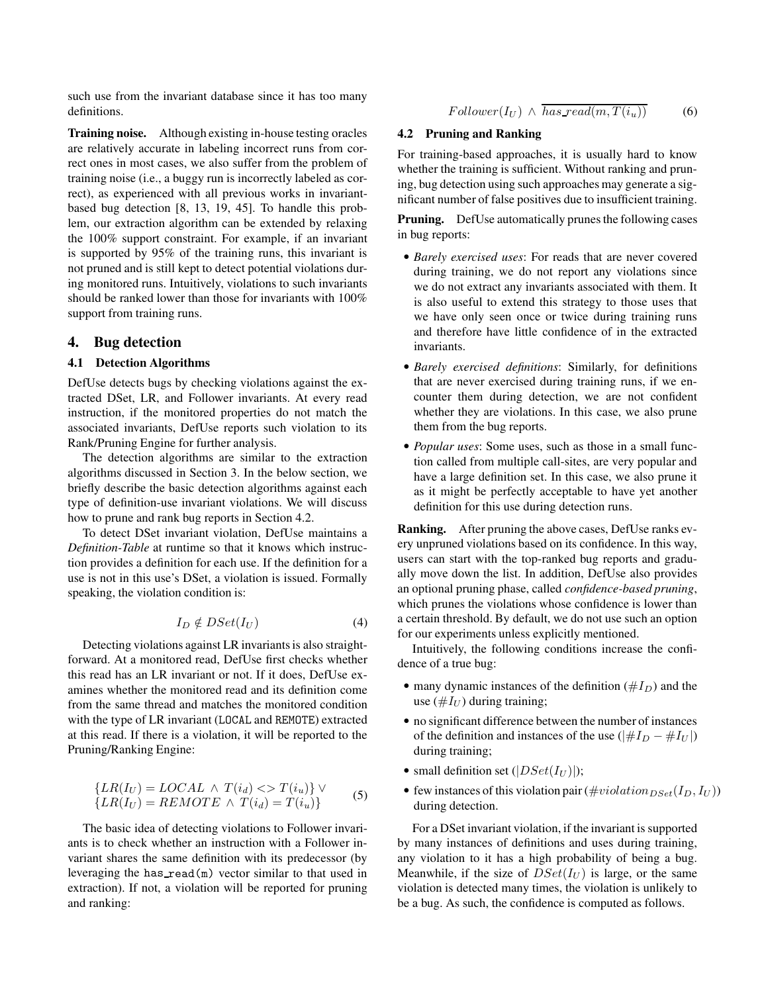such use from the invariant database since it has too many definitions.

**Training noise.** Although existing in-house testing oracles are relatively accurate in labeling incorrect runs from correct ones in most cases, we also suffer from the problem of training noise (i.e., a buggy run is incorrectly labeled as correct), as experienced with all previous works in invariantbased bug detection [8, 13, 19, 45]. To handle this problem, our extraction algorithm can be extended by relaxing the 100% support constraint. For example, if an invariant is supported by 95% of the training runs, this invariant is not pruned and is still kept to detect potential violations during monitored runs. Intuitively, violations to such invariants should be ranked lower than those for invariants with 100% support from training runs.

## **4. Bug detection**

#### **4.1 Detection Algorithms**

DefUse detects bugs by checking violations against the extracted DSet, LR, and Follower invariants. At every read instruction, if the monitored properties do not match the associated invariants, DefUse reports such violation to its Rank/Pruning Engine for further analysis.

The detection algorithms are similar to the extraction algorithms discussed in Section 3. In the below section, we briefly describe the basic detection algorithms against each type of definition-use invariant violations. We will discuss how to prune and rank bug reports in Section 4.2.

To detect DSet invariant violation, DefUse maintains a *Definition-Table* at runtime so that it knows which instruction provides a definition for each use. If the definition for a use is not in this use's DSet, a violation is issued. Formally speaking, the violation condition is:

$$
I_D \notin DSet(I_U) \tag{4}
$$

Detecting violations against LR invariants is also straightforward. At a monitored read, DefUse first checks whether this read has an LR invariant or not. If it does, DefUse examines whether the monitored read and its definition come from the same thread and matches the monitored condition with the type of LR invariant (LOCAL and REMOTE) extracted at this read. If there is a violation, it will be reported to the Pruning/Ranking Engine:

$$
\{LR(I_U) = LOCAL \land T(i_d) \ll T(i_u)\} \lor \{LR(I_U) = REMOTE \land T(i_d) = T(i_u)\}
$$
\n(5)

The basic idea of detecting violations to Follower invariants is to check whether an instruction with a Follower invariant shares the same definition with its predecessor (by leveraging the has  $\text{read}(m)$  vector similar to that used in extraction). If not, a violation will be reported for pruning and ranking:

 $Follower(I_U) \wedge \overline{has\_read(m, T(i_u))}$  (6)

## **4.2 Pruning and Ranking**

For training-based approaches, it is usually hard to know whether the training is sufficient. Without ranking and pruning, bug detection using such approaches may generate a significant number of false positives due to insufficient training.

**Pruning.** DefUse automatically prunes the following cases in bug reports:

- *Barely exercised uses*: For reads that are never covered during training, we do not report any violations since we do not extract any invariants associated with them. It is also useful to extend this strategy to those uses that we have only seen once or twice during training runs and therefore have little confidence of in the extracted invariants.
- *Barely exercised definitions*: Similarly, for definitions that are never exercised during training runs, if we encounter them during detection, we are not confident whether they are violations. In this case, we also prune them from the bug reports.
- *Popular uses*: Some uses, such as those in a small function called from multiple call-sites, are very popular and have a large definition set. In this case, we also prune it as it might be perfectly acceptable to have yet another definition for this use during detection runs.

**Ranking.** After pruning the above cases, DefUse ranks every unpruned violations based on its confidence. In this way, users can start with the top-ranked bug reports and gradually move down the list. In addition, DefUse also provides an optional pruning phase, called *confidence-based pruning*, which prunes the violations whose confidence is lower than a certain threshold. By default, we do not use such an option for our experiments unless explicitly mentioned.

Intuitively, the following conditions increase the confidence of a true bug:

- many dynamic instances of the definition ( $#I_D$ ) and the use  $(\#I_U)$  during training;
- no significant difference between the number of instances of the definition and instances of the use ( $|#I_D - #I_U|$ ) during training;
- small definition set  $(|DSet(I_U)|);$
- few instances of this violation pair ( $\# violation_{DSet}(I_D, I_U)$ ) during detection.

For a DSet invariant violation, if the invariant is supported by many instances of definitions and uses during training, any violation to it has a high probability of being a bug. Meanwhile, if the size of  $DSet(I_U)$  is large, or the same violation is detected many times, the violation is unlikely to be a bug. As such, the confidence is computed as follows.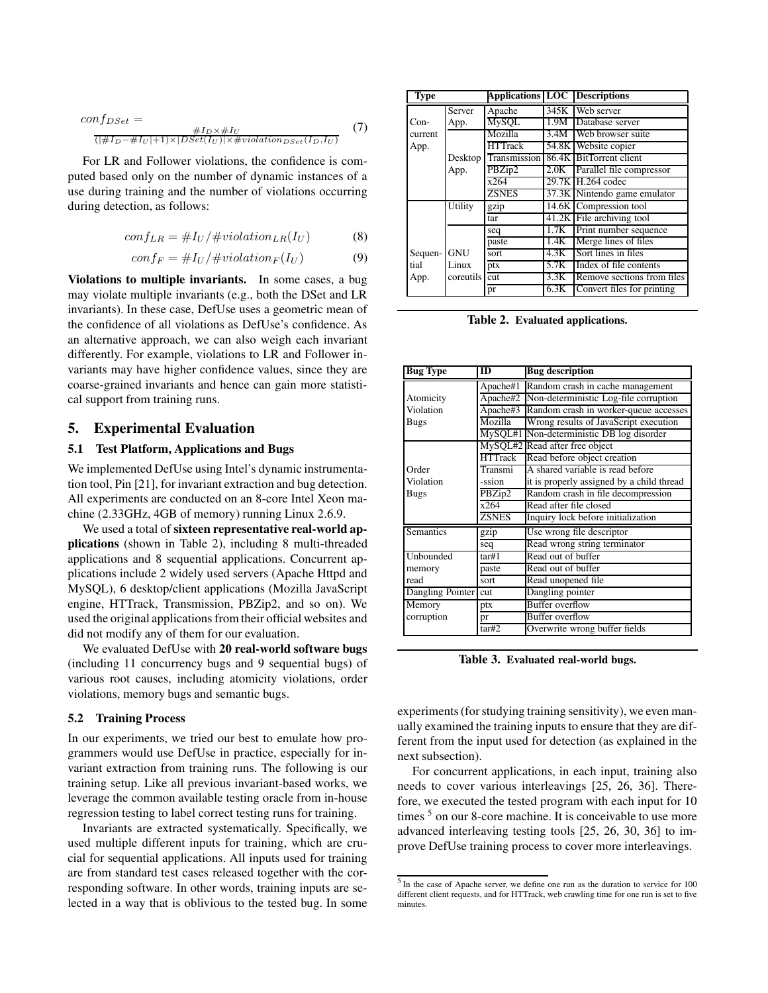$$
conf_{DSet} = \frac{\#I_D \times \#I_U}{(|\#I_D - \#I_U| + 1) \times |DSet(I_U)| \times \#violation_{DSet}(I_D, I_U)} \tag{7}
$$

For LR and Follower violations, the confidence is computed based only on the number of dynamic instances of a use during training and the number of violations occurring during detection, as follows:

$$
conf_{LR} = \#I_U / \# violation_{LR}(I_U)
$$
 (8)

$$
conf_F = \#I_U / \#violation_F(I_U)
$$
 (9)

**Violations to multiple invariants.** In some cases, a bug may violate multiple invariants (e.g., both the DSet and LR invariants). In these case, DefUse uses a geometric mean of the confidence of all violations as DefUse's confidence. As an alternative approach, we can also weigh each invariant differently. For example, violations to LR and Follower invariants may have higher confidence values, since they are coarse-grained invariants and hence can gain more statistical support from training runs.

# **5. Experimental Evaluation**

# **5.1 Test Platform, Applications and Bugs**

We implemented DefUse using Intel's dynamic instrumentation tool, Pin [21], for invariant extraction and bug detection. All experiments are conducted on an 8-core Intel Xeon machine (2.33GHz, 4GB of memory) running Linux 2.6.9.

We used a total of **sixteen representative real-world applications** (shown in Table 2), including 8 multi-threaded applications and 8 sequential applications. Concurrent applications include 2 widely used servers (Apache Httpd and MySQL), 6 desktop/client applications (Mozilla JavaScript engine, HTTrack, Transmission, PBZip2, and so on). We used the original applications from their official websites and did not modify any of them for our evaluation.

We evaluated DefUse with **20 real-world software bugs** (including 11 concurrency bugs and 9 sequential bugs) of various root causes, including atomicity violations, order violations, memory bugs and semantic bugs.

#### **5.2 Training Process**

In our experiments, we tried our best to emulate how programmers would use DefUse in practice, especially for invariant extraction from training runs. The following is our training setup. Like all previous invariant-based works, we leverage the common available testing oracle from in-house regression testing to label correct testing runs for training.

Invariants are extracted systematically. Specifically, we used multiple different inputs for training, which are crucial for sequential applications. All inputs used for training are from standard test cases released together with the corresponding software. In other words, training inputs are selected in a way that is oblivious to the tested bug. In some

| <b>Type</b> |            |                |       | <b>Applications LOC Descriptions</b> |
|-------------|------------|----------------|-------|--------------------------------------|
|             | Server     | Apache         | 345K  | Web server                           |
| $Con-$      | App.       | <b>MySOL</b>   | 1.9M  | Database server                      |
| current     |            | Mozilla        | 3.4M  | Web browser suite                    |
| App.        |            | <b>HTTrack</b> | 54.8K | Website copier                       |
|             | Desktop    | Transmission   |       | 86.4K BitTorrent client              |
|             | App.       | P B Zip2       | 2.0K  | Parallel file compressor             |
|             |            | x264           |       | 29.7K H.264 codec                    |
|             |            | <b>ZSNES</b>   |       | 37.3K Nintendo game emulator         |
|             | Utility    | gzip           |       | 14.6K Compression tool               |
|             |            | tar            |       | 41.2K File archiving tool            |
|             |            | seq            | 1.7K  | Print number sequence                |
|             |            | paste          | 1.4K  | Merge lines of files                 |
| Sequen-     | <b>GNU</b> | sort           | 4.3K  | Sort lines in files                  |
| tial        | Linux      | ptx            | 5.7K  | Index of file contents               |
| App.        | coreutils  | cut            | 3.3K  | Remove sections from files           |
|             |            | pr             | 6.3K  | Convert files for printing           |

**Table 2. Evaluated applications.**

| <b>Bug Type</b>  | <b>ID</b>      | <b>Bug description</b>                    |
|------------------|----------------|-------------------------------------------|
|                  | Apache#1       | Random crash in cache management          |
| Atomicity        | Apache#2       | Non-deterministic Log-file corruption     |
| Violation        | Apache#3       | Random crash in worker-queue accesses     |
| <b>Bugs</b>      | Mozilla        | Wrong results of JavaScript execution     |
|                  | MySQL#1        | Non-deterministic DB log disorder         |
|                  |                | MySQL#2 Read after free object            |
|                  | <b>HTTrack</b> | Read before object creation               |
| Order            | Transmi        | A shared variable is read before          |
| Violation        | -ssion         | it is properly assigned by a child thread |
| <b>Bugs</b>      | PBZip2         | Random crash in file decompression        |
|                  | x264           | Read after file closed                    |
|                  | <b>ZSNES</b>   | Inquiry lock before initialization        |
| Semantics        | gzip           | Use wrong file descriptor                 |
|                  | seq            | Read wrong string terminator              |
| Unbounded        | tar#1          | Read out of buffer                        |
| memory           | paste          | Read out of buffer                        |
| read             | sort           | Read unopened file                        |
| Dangling Pointer | cut            | Dangling pointer                          |
| Memory           | ptx            | <b>Buffer overflow</b>                    |
| corruption       | pr             | Buffer overflow                           |
|                  | tar#2          | Overwrite wrong buffer fields             |

**Table 3. Evaluated real-world bugs.**

experiments (for studying training sensitivity), we even manually examined the training inputs to ensure that they are different from the input used for detection (as explained in the next subsection).

For concurrent applications, in each input, training also needs to cover various interleavings [25, 26, 36]. Therefore, we executed the tested program with each input for 10 times <sup>5</sup> on our 8-core machine. It is conceivable to use more advanced interleaving testing tools [25, 26, 30, 36] to improve DefUse training process to cover more interleavings.

<sup>&</sup>lt;sup>5</sup> In the case of Apache server, we define one run as the duration to service for 100 different client requests, and for HTTrack, web crawling time for one run is set to five minutes.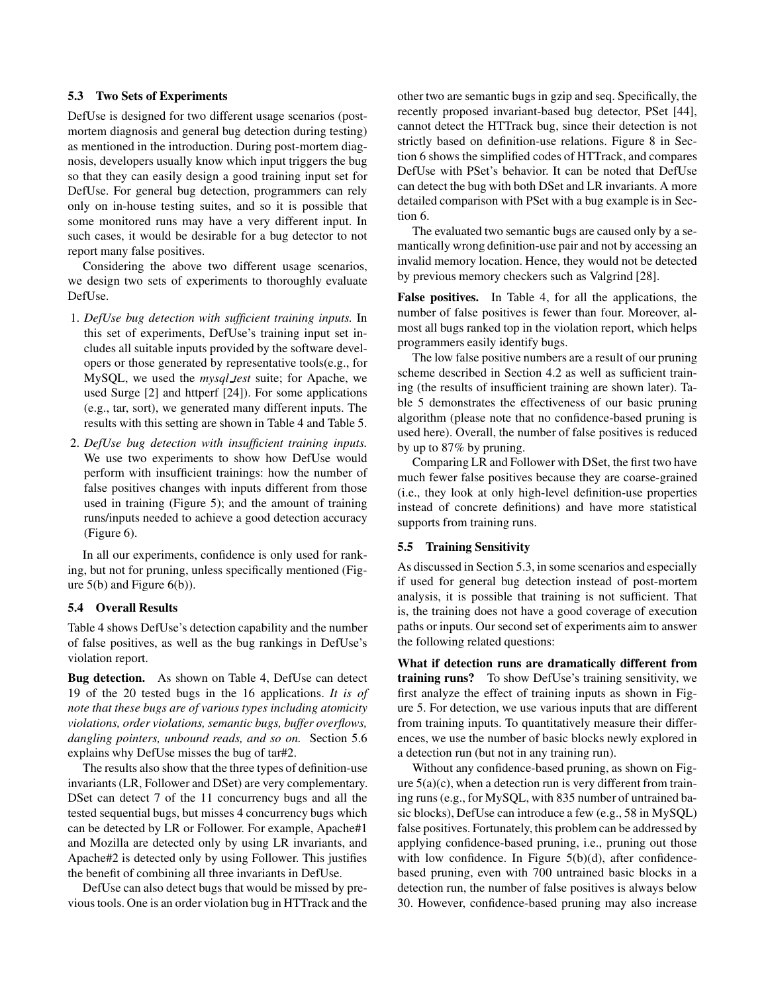## **5.3 Two Sets of Experiments**

DefUse is designed for two different usage scenarios (postmortem diagnosis and general bug detection during testing) as mentioned in the introduction. During post-mortem diagnosis, developers usually know which input triggers the bug so that they can easily design a good training input set for DefUse. For general bug detection, programmers can rely only on in-house testing suites, and so it is possible that some monitored runs may have a very different input. In such cases, it would be desirable for a bug detector to not report many false positives.

Considering the above two different usage scenarios, we design two sets of experiments to thoroughly evaluate DefUse.

- 1. *DefUse bug detection with sufficient training inputs.* In this set of experiments, DefUse's training input set includes all suitable inputs provided by the software developers or those generated by representative tools(e.g., for MySQL, we used the *mysql test* suite; for Apache, we used Surge [2] and httperf [24]). For some applications (e.g., tar, sort), we generated many different inputs. The results with this setting are shown in Table 4 and Table 5.
- 2. *DefUse bug detection with insufficient training inputs.* We use two experiments to show how DefUse would perform with insufficient trainings: how the number of false positives changes with inputs different from those used in training (Figure 5); and the amount of training runs/inputs needed to achieve a good detection accuracy (Figure 6).

In all our experiments, confidence is only used for ranking, but not for pruning, unless specifically mentioned (Figure 5(b) and Figure 6(b)).

# **5.4 Overall Results**

Table 4 shows DefUse's detection capability and the number of false positives, as well as the bug rankings in DefUse's violation report.

**Bug detection.** As shown on Table 4, DefUse can detect 19 of the 20 tested bugs in the 16 applications. *It is of note that these bugs are of various types including atomicity violations, order violations, semantic bugs, buffer overflows, dangling pointers, unbound reads, and so on.* Section 5.6 explains why DefUse misses the bug of tar#2.

The results also show that the three types of definition-use invariants (LR, Follower and DSet) are very complementary. DSet can detect 7 of the 11 concurrency bugs and all the tested sequential bugs, but misses 4 concurrency bugs which can be detected by LR or Follower. For example, Apache#1 and Mozilla are detected only by using LR invariants, and Apache#2 is detected only by using Follower. This justifies the benefit of combining all three invariants in DefUse.

DefUse can also detect bugs that would be missed by previoustools. One is an order violation bug in HTTrack and the

other two are semantic bugs in gzip and seq. Specifically, the recently proposed invariant-based bug detector, PSet [44], cannot detect the HTTrack bug, since their detection is not strictly based on definition-use relations. Figure 8 in Section 6 shows the simplified codes of HTTrack, and compares DefUse with PSet's behavior. It can be noted that DefUse can detect the bug with both DSet and LR invariants. A more detailed comparison with PSet with a bug example is in Section 6.

The evaluated two semantic bugs are caused only by a semantically wrong definition-use pair and not by accessing an invalid memory location. Hence, they would not be detected by previous memory checkers such as Valgrind [28].

**False positives.** In Table 4, for all the applications, the number of false positives is fewer than four. Moreover, almost all bugs ranked top in the violation report, which helps programmers easily identify bugs.

The low false positive numbers are a result of our pruning scheme described in Section 4.2 as well as sufficient training (the results of insufficient training are shown later). Table 5 demonstrates the effectiveness of our basic pruning algorithm (please note that no confidence-based pruning is used here). Overall, the number of false positives is reduced by up to 87% by pruning.

Comparing LR and Follower with DSet, the first two have much fewer false positives because they are coarse-grained (i.e., they look at only high-level definition-use properties instead of concrete definitions) and have more statistical supports from training runs.

### **5.5 Training Sensitivity**

As discussed in Section 5.3, in some scenarios and especially if used for general bug detection instead of post-mortem analysis, it is possible that training is not sufficient. That is, the training does not have a good coverage of execution paths or inputs. Our second set of experiments aim to answer the following related questions:

**What if detection runs are dramatically different from training runs?** To show DefUse's training sensitivity, we first analyze the effect of training inputs as shown in Figure 5. For detection, we use various inputs that are different from training inputs. To quantitatively measure their differences, we use the number of basic blocks newly explored in a detection run (but not in any training run).

Without any confidence-based pruning, as shown on Figure  $5(a)(c)$ , when a detection run is very different from training runs (e.g., for MySQL, with 835 number of untrained basic blocks), DefUse can introduce a few (e.g., 58 in MySQL) false positives. Fortunately, this problem can be addressed by applying confidence-based pruning, i.e., pruning out those with low confidence. In Figure 5(b)(d), after confidencebased pruning, even with 700 untrained basic blocks in a detection run, the number of false positives is always below 30. However, confidence-based pruning may also increase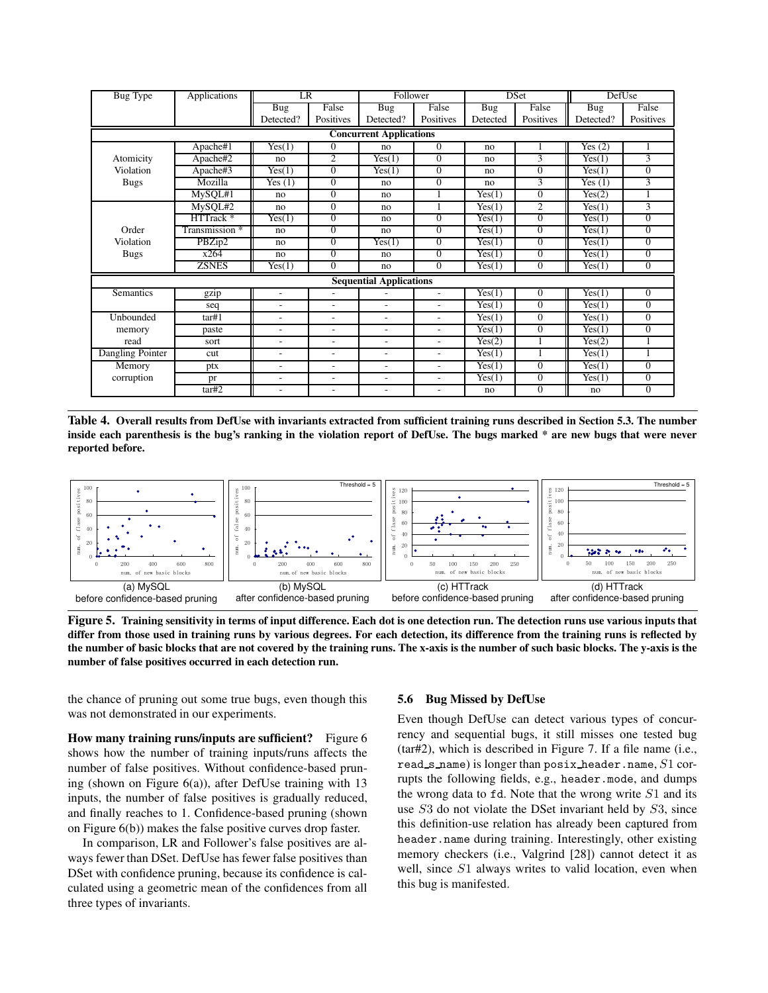| <b>Bug Type</b>                | Applications         | <b>LR</b>                |                | Follower                       |                          | <b>DSet</b>                |                | DefUse                     |                |
|--------------------------------|----------------------|--------------------------|----------------|--------------------------------|--------------------------|----------------------------|----------------|----------------------------|----------------|
|                                |                      | <b>Bug</b>               | False          | $\overline{B}$ ug              | False                    | Bug                        | False          | <b>Bug</b>                 | False          |
|                                |                      | Detected?                | Positives      | Detected?                      | Positives                | Detected                   | Positives      | Detected?                  | Positives      |
| <b>Concurrent Applications</b> |                      |                          |                |                                |                          |                            |                |                            |                |
|                                | Apache#1             | Yes(1)                   | $\Omega$       | no                             | $\Omega$                 | no                         | 1              | Yes $(2)$                  | 1              |
| Atomicity                      | Apache#2             | no                       | 2              | $\overline{\text{Yes}}(1)$     | $\overline{0}$           | no                         | 3              | Yes(1)                     | 3              |
| Violation                      | Apache#3             | Yes(1)                   | $\Omega$       | Yes(1)                         | $\Omega$                 | no                         | $\overline{0}$ | $\overline{\text{Yes}}(1)$ | $\mathbf{0}$   |
| <b>Bugs</b>                    | Mozilla              | $\overline{Y}$ es (1)    | $\Omega$       | no                             | $\Omega$                 | no                         | 3              | $\overline{\text{Yes}}(1)$ | 3              |
|                                | MySQL#1              | no                       | $\Omega$       | no                             |                          | $\overline{\text{Yes}}(1)$ | $\Omega$       | $\overline{\text{Yes}}(2)$ |                |
|                                | MySQL#2              | no                       | $\mathbf{0}$   | no                             |                          | $\overline{Yes}(1)$        | 2              | Yes(1)                     | $\overline{3}$ |
|                                | HTTrack <sup>*</sup> | Yes(1)                   | $\Omega$       | no                             | $\Omega$                 | Yes(1)                     | $\mathbf{0}$   | Yes(1)                     | $\overline{0}$ |
| Order                          | Transmission *       | no                       | $\overline{0}$ | no                             | $\Omega$                 | Yes(1)                     | $\overline{0}$ | Yes(1)                     | $\overline{0}$ |
| Violation                      | PBZip2               | no                       | $\Omega$       | $\overline{\text{Yes}}(1)$     | $\Omega$                 | $\overline{\text{Yes}}(1)$ | $\mathbf{0}$   | $\overline{\text{Yes}}(1)$ | $\Omega$       |
| <b>Bugs</b>                    | x264                 | no                       | $\Omega$       | no                             | $\theta$                 | Yes(1)                     | $\Omega$       | $\overline{\text{Yes}}(1)$ | $\Omega$       |
|                                | <b>ZSNES</b>         | Yes(1)                   | $\mathbf{0}$   | no                             | $\Omega$                 | Yes(1)                     | $\mathbf{0}$   | Yes(1)                     | $\theta$       |
|                                |                      |                          |                | <b>Sequential Applications</b> |                          |                            |                |                            |                |
| <b>Semantics</b>               | gzip                 | $\overline{a}$           |                |                                |                          | $\overline{\text{Yes}}(1)$ | $\Omega$       | $\overline{Yes}(1)$        | $\Omega$       |
|                                | seq                  | ٠                        | ٠              | ٠                              | $\overline{\phantom{0}}$ | $\overline{\text{Yes}}(1)$ | $\mathbf{0}$   | $\overline{\text{Yes}}(1)$ | $\theta$       |
| Unbounded                      | tar#1                | ٠                        | ۰              | ٠                              | $\overline{\phantom{0}}$ | Yes(1)                     | $\Omega$       | Yes(1)                     | $\theta$       |
| memory                         | paste                | ٠                        | ۰              | $\overline{\phantom{0}}$       | $\overline{\phantom{0}}$ | Yes(1)                     | $\Omega$       | Yes(1)                     | $\Omega$       |
| read                           | sort                 | $\overline{\phantom{a}}$ | ۰              | $\overline{\phantom{a}}$       | $\overline{\phantom{0}}$ | $\overline{\text{Yes}}(2)$ |                | $\overline{\text{Yes}}(2)$ |                |
| Dangling Pointer               | cut                  | $\overline{\phantom{a}}$ | ÷,             | $\overline{\phantom{0}}$       | $\overline{\phantom{0}}$ | $\overline{Yes}(1)$        |                | $\overline{Yes}(1)$        | $\mathbf{1}$   |
| Memory                         | ptx                  | ٠                        | ۰              | $\overline{\phantom{0}}$       | $\overline{\phantom{0}}$ | $\overline{Yes}(1)$        | $\mathbf{0}$   | $\overline{Yes}(1)$        | $\theta$       |
| corruption                     | pr                   | ۰                        | ٠              | ٠                              | ۰                        | $\overline{\text{Yes}}(1)$ | $\mathbf{0}$   | $\overline{\text{Yes}}(1)$ | $\mathbf{0}$   |
|                                | tar#2                | $\overline{a}$           | ۰              | ٠                              | ۰                        | no                         | $\Omega$       | no                         | $\mathbf{0}$   |

Table 4. Overall results from DefUse with invariants extracted from sufficient training runs described in Section 5.3. The number inside each parenthesis is the bug's ranking in the violation report of DefUse. The bugs marked \* are new bugs that were never **reported before.**



Figure 5. Training sensitivity in terms of input difference. Each dot is one detection run. The detection runs use various inputs that differ from those used in training runs by various degrees. For each detection, its difference from the training runs is reflected by the number of basic blocks that are not covered by the training runs. The x-axis is the number of such basic blocks. The y-axis is the **number of false positives occurred in each detection run.**

the chance of pruning out some true bugs, even though this was not demonstrated in our experiments.

**How many training runs/inputs are sufficient?** Figure 6 shows how the number of training inputs/runs affects the number of false positives. Without confidence-based pruning (shown on Figure 6(a)), after DefUse training with 13 inputs, the number of false positives is gradually reduced, and finally reaches to 1. Confidence-based pruning (shown on Figure 6(b)) makes the false positive curves drop faster.

In comparison, LR and Follower's false positives are always fewer than DSet. DefUse has fewer false positives than DSet with confidence pruning, because its confidence is calculated using a geometric mean of the confidences from all three types of invariants.

#### **5.6 Bug Missed by DefUse**

Even though DefUse can detect various types of concurrency and sequential bugs, it still misses one tested bug (tar#2), which is described in Figure 7. If a file name (i.e., read s name) is longer than posix header.name,  $S1$  corrupts the following fields, e.g., header.mode, and dumps the wrong data to  $fd$ . Note that the wrong write  $S1$  and its use S3 do not violate the DSet invariant held by S3, since this definition-use relation has already been captured from header.name during training. Interestingly, other existing memory checkers (i.e., Valgrind [28]) cannot detect it as well, since S1 always writes to valid location, even when this bug is manifested.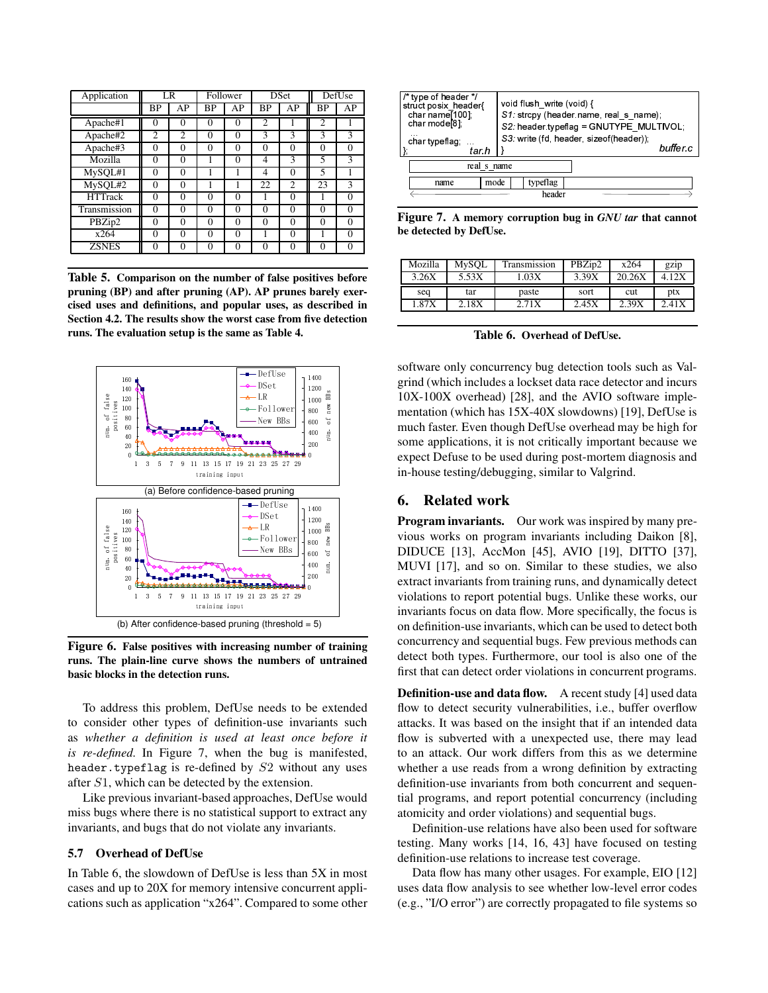| Application    |                | LR             | Follower  |          | <b>DSet</b>    |                | DefUse         |          |
|----------------|----------------|----------------|-----------|----------|----------------|----------------|----------------|----------|
|                | ΒP             | AP             | <b>BP</b> | AP       | <b>BP</b>      | AP             | ВP             | AP       |
| Apache#1       | 0              | $\theta$       | $\Omega$  | $\Omega$ | $\overline{2}$ |                | $\overline{c}$ |          |
| Apache#2       | $\overline{c}$ | $\overline{c}$ | $\Omega$  | $\Omega$ | 3              | 3              | 3              | 3        |
| Apache#3       | $\Omega$       | $\theta$       | $\Omega$  | $\Omega$ | $\Omega$       | $\Omega$       | $\Omega$       | 0        |
| Mozilla        | $\Omega$       | $\theta$       |           | $\Omega$ | 4              | 3              | 5              | 3        |
| MySQL#1        | $\Omega$       | $\theta$       |           |          | $\overline{4}$ | $\Omega$       | 5              |          |
| MySQL#2        | 0              | $\Omega$       |           |          | 22             | $\overline{c}$ | 23             | 3        |
| <b>HTTrack</b> | $\Omega$       | $\Omega$       | $\Omega$  | $\Omega$ |                | $\Omega$       |                | $\Omega$ |
| Transmission   | $\Omega$       | $\Omega$       | $\Omega$  | $\Omega$ | $\Omega$       | 0              | $\Omega$       | $\Omega$ |
| PBZip2         | 0              | $\Omega$       | $\Omega$  | $\Omega$ | $\Omega$       | $\theta$       | $\theta$       | $\Omega$ |
| x264           | 0              | $\Omega$       | $\Omega$  | $\Omega$ |                | $\Omega$       |                | 0        |
| <b>ZSNES</b>   | 0              | $\Omega$       | $\Omega$  | $\Omega$ | $\Omega$       | 0              | 0              | 0        |

**Table 5. Comparison on the number of false positives before pruning (BP) and after pruning (AP). AP prunes barely exercised uses and definitions, and popular uses, as described in Section 4.2. The results show the worst case from five detection runs. The evaluation setup is the same as Table 4.**



**Figure 6. False positives with increasing number of training runs. The plain-line curve shows the numbers of untrained basic blocks in the detection runs.**

To address this problem, DefUse needs to be extended to consider other types of definition-use invariants such as *whether a definition is used at least once before it is re-defined.* In Figure 7, when the bug is manifested, header.typeflag is re-defined by S2 without any uses after S1, which can be detected by the extension.

Like previous invariant-based approaches, DefUse would miss bugs where there is no statistical support to extract any invariants, and bugs that do not violate any invariants.

## **5.7 Overhead of DefUse**

In Table 6, the slowdown of DefUse is less than 5X in most cases and up to 20X for memory intensive concurrent applications such as application "x264". Compared to some other

| /* type of header */<br>struct posix header{<br>char name $[100]$<br>char mode <sup>[8]</sup> .<br>$\cdots$<br>char typeflag;<br>tar.h<br>real s name | void flush write (void) {<br>S1: strcpy (header name, real s name);<br>S2: header typeflag = GNUTYPE MULTIVOL:<br>S3. write (fd. header, sizeof(header)).<br>buffer c |  |  |  |
|-------------------------------------------------------------------------------------------------------------------------------------------------------|-----------------------------------------------------------------------------------------------------------------------------------------------------------------------|--|--|--|
| mode<br>typeflag<br>name                                                                                                                              |                                                                                                                                                                       |  |  |  |
|                                                                                                                                                       | header                                                                                                                                                                |  |  |  |

**Figure 7. A memory corruption bug in** *GNU tar* **that cannot be detected by DefUse.**

| Mozilla | MySQL | <b>Transmission</b> | PBZip2 | x264   | gzip       |
|---------|-------|---------------------|--------|--------|------------|
| 3.26X   | 5.53X | .03X                | 3.39X  | 20.26X | 4 12X      |
| seq     | tar   | paste               | sort   | cut    | <b>ptx</b> |
|         |       |                     |        |        |            |

**Table 6. Overhead of DefUse.**

software only concurrency bug detection tools such as Valgrind (which includes a lockset data race detector and incurs 10X-100X overhead) [28], and the AVIO software implementation (which has 15X-40X slowdowns) [19], DefUse is much faster. Even though DefUse overhead may be high for some applications, it is not critically important because we expect Defuse to be used during post-mortem diagnosis and in-house testing/debugging, similar to Valgrind.

#### **6. Related work**

**Program invariants.** Our work was inspired by many previous works on program invariants including Daikon [8], DIDUCE [13], AccMon [45], AVIO [19], DITTO [37], MUVI [17], and so on. Similar to these studies, we also extract invariants from training runs, and dynamically detect violations to report potential bugs. Unlike these works, our invariants focus on data flow. More specifically, the focus is on definition-use invariants, which can be used to detect both concurrency and sequential bugs. Few previous methods can detect both types. Furthermore, our tool is also one of the first that can detect order violations in concurrent programs.

**Definition-use and data flow.** A recent study [4] used data flow to detect security vulnerabilities, i.e., buffer overflow attacks. It was based on the insight that if an intended data flow is subverted with a unexpected use, there may lead to an attack. Our work differs from this as we determine whether a use reads from a wrong definition by extracting definition-use invariants from both concurrent and sequential programs, and report potential concurrency (including atomicity and order violations) and sequential bugs.

Definition-use relations have also been used for software testing. Many works [14, 16, 43] have focused on testing definition-use relations to increase test coverage.

Data flow has many other usages. For example, EIO [12] uses data flow analysis to see whether low-level error codes (e.g., "I/O error") are correctly propagated to file systems so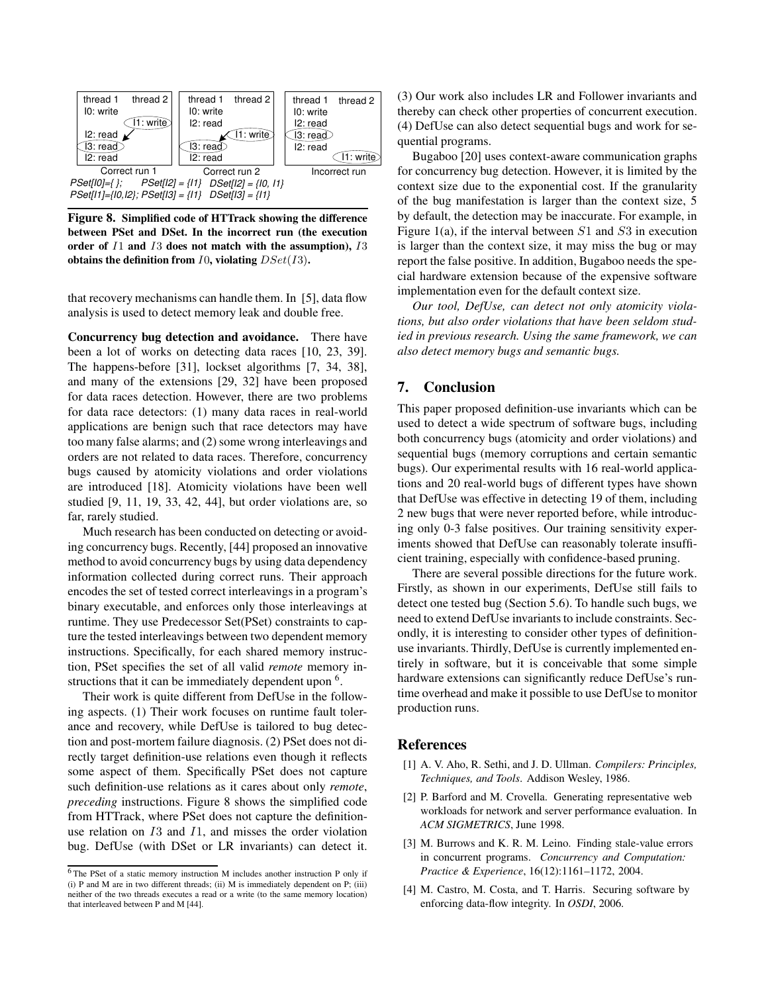

**Figure 8. Simplified code of HTTrack showing the difference between PSet and DSet. In the incorrect run (the execution order of** I1 **and** I3 **does not match with the assumption),** I3 **obtains the definition from** I0**, violating** DSet(I3)**.**

that recovery mechanisms can handle them. In [5], data flow analysis is used to detect memory leak and double free.

**Concurrency bug detection and avoidance.** There have been a lot of works on detecting data races [10, 23, 39]. The happens-before [31], lockset algorithms [7, 34, 38], and many of the extensions [29, 32] have been proposed for data races detection. However, there are two problems for data race detectors: (1) many data races in real-world applications are benign such that race detectors may have too many false alarms; and (2) some wrong interleavings and orders are not related to data races. Therefore, concurrency bugs caused by atomicity violations and order violations are introduced [18]. Atomicity violations have been well studied [9, 11, 19, 33, 42, 44], but order violations are, so far, rarely studied.

Much research has been conducted on detecting or avoiding concurrency bugs. Recently, [44] proposed an innovative method to avoid concurrency bugs by using data dependency information collected during correct runs. Their approach encodes the set of tested correct interleavings in a program's binary executable, and enforces only those interleavings at runtime. They use Predecessor Set(PSet) constraints to capture the tested interleavings between two dependent memory instructions. Specifically, for each shared memory instruction, PSet specifies the set of all valid *remote* memory instructions that it can be immediately dependent upon  $6$ .

Their work is quite different from DefUse in the following aspects. (1) Their work focuses on runtime fault tolerance and recovery, while DefUse is tailored to bug detection and post-mortem failure diagnosis. (2) PSet does not directly target definition-use relations even though it reflects some aspect of them. Specifically PSet does not capture such definition-use relations as it cares about only *remote*, *preceding* instructions. Figure 8 shows the simplified code from HTTrack, where PSet does not capture the definitionuse relation on  $I3$  and  $I1$ , and misses the order violation bug. DefUse (with DSet or LR invariants) can detect it.

(3) Our work also includes LR and Follower invariants and thereby can check other properties of concurrent execution. (4) DefUse can also detect sequential bugs and work for sequential programs.

Bugaboo [20] uses context-aware communication graphs for concurrency bug detection. However, it is limited by the context size due to the exponential cost. If the granularity of the bug manifestation is larger than the context size, 5 by default, the detection may be inaccurate. For example, in Figure 1(a), if the interval between  $S1$  and  $S3$  in execution is larger than the context size, it may miss the bug or may report the false positive. In addition, Bugaboo needs the special hardware extension because of the expensive software implementation even for the default context size.

*Our tool, DefUse, can detect not only atomicity violations, but also order violations that have been seldom studied in previous research. Using the same framework, we can also detect memory bugs and semantic bugs.*

# **7. Conclusion**

This paper proposed definition-use invariants which can be used to detect a wide spectrum of software bugs, including both concurrency bugs (atomicity and order violations) and sequential bugs (memory corruptions and certain semantic bugs). Our experimental results with 16 real-world applications and 20 real-world bugs of different types have shown that DefUse was effective in detecting 19 of them, including 2 new bugs that were never reported before, while introducing only 0-3 false positives. Our training sensitivity experiments showed that DefUse can reasonably tolerate insufficient training, especially with confidence-based pruning.

There are several possible directions for the future work. Firstly, as shown in our experiments, DefUse still fails to detect one tested bug (Section 5.6). To handle such bugs, we need to extend DefUse invariants to include constraints. Secondly, it is interesting to consider other types of definitionuse invariants. Thirdly, DefUse is currently implemented entirely in software, but it is conceivable that some simple hardware extensions can significantly reduce DefUse's runtime overhead and make it possible to use DefUse to monitor production runs.

# **References**

- [1] A. V. Aho, R. Sethi, and J. D. Ullman. *Compilers: Principles, Techniques, and Tools*. Addison Wesley, 1986.
- [2] P. Barford and M. Crovella. Generating representative web workloads for network and server performance evaluation. In *ACM SIGMETRICS*, June 1998.
- [3] M. Burrows and K. R. M. Leino. Finding stale-value errors in concurrent programs. *Concurrency and Computation: Practice & Experience*, 16(12):1161–1172, 2004.
- [4] M. Castro, M. Costa, and T. Harris. Securing software by enforcing data-flow integrity. In *OSDI*, 2006.

<sup>6</sup> The PSet of a static memory instruction M includes another instruction P only if (i) P and M are in two different threads; (ii) M is immediately dependent on P; (iii) neither of the two threads executes a read or a write (to the same memory location) that interleaved between P and M [44].